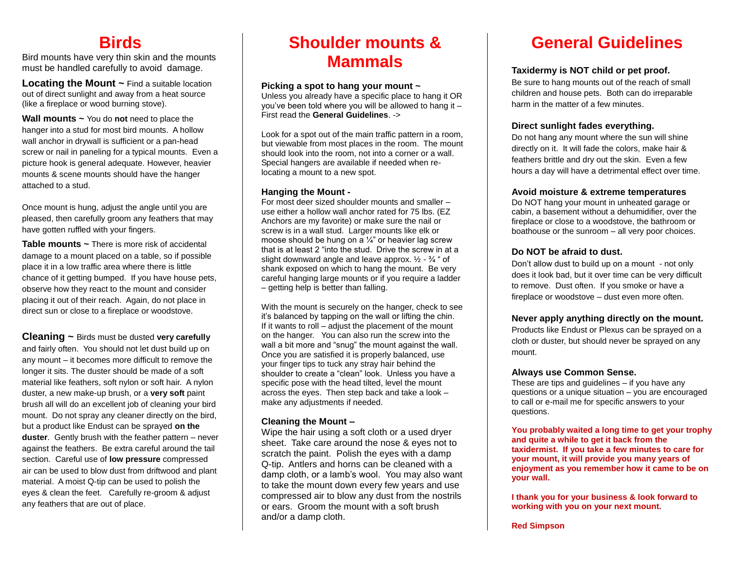### **Birds**

Bird mounts have very thin skin and the mounts must be handled carefully to avoid damage.

**Locating the Mount ~ Find a suitable location** out of direct sunlight and away from a heat source (like a fireplace or wood burning stove).

**Wall mounts ~** You do **not** need to place the hanger into a stud for most bird mounts. A hollow wall anchor in drywall is sufficient or a pan-head screw or nail in paneling for a typical mounts. Even a picture hook is general adequate. However, heavier mounts & scene mounts should have the hanger attached to a stud.

Once mount is hung, adjust the angle until you are pleased, then carefully groom any feathers that may have gotten ruffled with your fingers.

**Table mounts ~ There is more risk of accidental** damage to a mount placed on a table, so if possible place it in a low traffic area where there is little chance of it getting bumped. If you have house pets, observe how they react to the mount and consider placing it out of their reach. Again, do not place in direct sun or close to a fireplace or woodstove.

**Cleaning ~** Birds must be dusted **very carefully** and fairly often. You should not let dust build up on any mount – it becomes more difficult to remove the longer it sits. The duster should be made of a soft material like feathers, soft nylon or soft hair. A nylon duster, a new make-up brush, or a **very soft** paint brush all will do an excellent job of cleaning your bird mount. Do not spray any cleaner directly on the bird, but a product like Endust can be sprayed **on the duster**. Gently brush with the feather pattern – never against the feathers. Be extra careful around the tail section. Careful use of **low pressure** compressed air can be used to blow dust from driftwood and plant material. A moist Q-tip can be used to polish the

eyes & clean the feet. Carefully re-groom & adjust any feathers that are out of place.

### **Shoulder mounts & Mammals**

#### **Picking a spot to hang your mount ~**

Unless you already have a specific place to hang it OR you've been told where you will be allowed to hang it – First read the **General Guidelines**. ->

Look for a spot out of the main traffic pattern in a room, but viewable from most places in the room. The mount should look into the room, not into a corner or a wall. Special hangers are available if needed when relocating a mount to a new spot.

#### **Hanging the Mount -**

For most deer sized shoulder mounts and smaller – use either a hollow wall anchor rated for 75 lbs. (EZ Anchors are my favorite) or make sure the nail or screw is in a wall stud. Larger mounts like elk or moose should be hung on a  $\frac{1}{4}$ " or heavier lag screw that is at least 2 "into the stud. Drive the screw in at a slight downward angle and leave approx.  $\frac{1}{2} \cdot \frac{3}{4}$  " of shank exposed on which to hang the mount. Be very careful hanging large mounts or if you require a ladder – getting help is better than falling.

With the mount is securely on the hanger, check to see it's balanced by tapping on the wall or lifting the chin. If it wants to roll – adjust the placement of the mount on the hanger. You can also run the screw into the wall a bit more and "snug" the mount against the wall. Once you are satisfied it is properly balanced, use your finger tips to tuck any stray hair behind the shoulder to create a "clean" look. Unless you have a specific pose with the head tilted, level the mount across the eyes. Then step back and take a look – make any adjustments if needed.

#### **Cleaning the Mount –**

Wipe the hair using a soft cloth or a used dryer sheet. Take care around the nose & eyes not to scratch the paint. Polish the eyes with a damp Q-tip. Antlers and horns can be cleaned with a damp cloth, or a lamb's wool. You may also want to take the mount down every few years and use compressed air to blow any dust from the nostrils or ears. Groom the mount with a soft brush and/or a damp cloth.

### **General Guidelines**

#### **Taxidermy is NOT child or pet proof.**

Be sure to hang mounts out of the reach of small children and house pets. Both can do irreparable harm in the matter of a few minutes.

#### **Direct sunlight fades everything.**

Do not hang any mount where the sun will shine directly on it. It will fade the colors, make hair & feathers brittle and dry out the skin. Even a few hours a day will have a detrimental effect over time.

#### **Avoid moisture & extreme temperatures**

Do NOT hang your mount in unheated garage or cabin, a basement without a dehumidifier, over the fireplace or close to a woodstove, the bathroom or boathouse or the sunroom – all very poor choices.

#### **Do NOT be afraid to dust.**

Don't allow dust to build up on a mount - not only does it look bad, but it over time can be very difficult to remove. Dust often. If you smoke or have a fireplace or woodstove – dust even more often.

#### **Never apply anything directly on the mount.**

Products like Endust or Plexus can be sprayed on a cloth or duster, but should never be sprayed on any mount.

#### **Always use Common Sense.**

These are tips and guidelines – if you have any questions or a unique situation – you are encouraged to call or e-mail me for specific answers to your questions.

**You probably waited a long time to get your trophy and quite a while to get it back from the taxidermist. If you take a few minutes to care for your mount, it will provide you many years of enjoyment as you remember how it came to be on your wall.**

**I thank you for your business & look forward to working with you on your next mount.**

**Red Simpson**